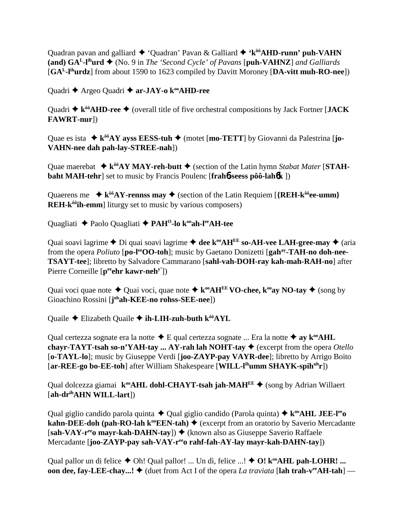Quadran pavan and galliard ◆ 'Quadran' Pavan & Galliard ◆ 'k<sup>ôô</sup>AHD-runn' puh-VAHN **(and) GAL-lihurd** (No. 9 in *The 'Second Cycle' of Pavans* [**puh-VAHNZ**] *and Galliards* [**GAL-lihurdz**] from about 1590 to 1623 compiled by Davitt Moroney [**DA-vitt muh-RO-nee**])

Quadri **←** Argeo Quadri ← ar-JAY-o k<sup>oo</sup>AHD-ree

Quadri  $\triangle$  k<sup>ôô</sup>AHD-ree  $\triangle$  (overall title of five orchestral compositions by Jack Fortner [**JACK FAWRT-nur**])

Quae es ista  $\triangle$  k<sup>ôô</sup>AY ayss EESS-tuh  $\triangle$  (motet [mo-TETT] by Giovanni da Palestrina [**jo**-**VAHN-nee dah pah-lay-STREE-nah**])

Quae maerebat  $\triangle$   $\mathbf{k}^{00}$  **AY MAY-reh-butt**  $\triangle$  (section of the Latin hymn *Stabat Mater* [**STAHbaht MAH-tehr**] set to music by Francis Poulenc [**frah**6**-seess pôô-lah**6**k** ])

Quaerens me  $\rightarrow k^{ô0}AY$ -rennss may  $\rightarrow$  (section of the Latin Requiem [{REH- $k^{ô0}$ ee-umm} **REH-k<sup>** $\delta\hat{\theta}$ **</sup>ih-emm** liturgy set to music by various composers)

Quagliati **←** Paolo Quagliati ← PAH<sup>O</sup>-lo k<sup>oo</sup>ah-l<sup>ee</sup>AH-tee

Quai soavi lagrime  $\triangle$  Di quai soavi lagrime  $\triangle$  dee k<sup>oo</sup>AH<sup>EE</sup> so-AH-vee LAH-gree-may  $\triangle$  (aria from the opera *Poliuto* [po-l<sup>ee</sup>**OO-toh**]; music by Gaetano Donizetti [gah<sup>ay</sup>-TAH-no doh-nee-**TSAYT-tee**]; libretto by Salvadore Cammarano [**sahl-vah-DOH-ray kah-mah-RAH-no**] after Pierre Corneille [p<sup>ee</sup>ehr kawr-neh<sup>y'</sup>])

Quai voci quae note  $\triangleq$  Quai voci, quae note  $\triangleq$  k<sup>oo</sup>AH<sup>EE</sup> VO-chee, k<sup>oo</sup>ay NO-tay  $\triangleq$  (song by Gioachino Rossini [**j**<sup>oh</sup>**ah-KEE-no rohss-SEE-nee**])

Quaile **←** Elizabeth Quaile ← **ih-LIH-zuh-buth k<sup>ôô</sup>AYL** 

Qual certezza sognate era la notte  $\triangle$  E qual certezza sognate ... Era la notte  $\triangle$  ay  $k^{\omega}AHL$ **chayr-TAYT-tsah so-n'YAH-tay ... AY-rah lah NOHT-tay**  $\blacklozenge$  (excerpt from the opera *Otello* [**o-TAYL-lo**]; music by Giuseppe Verdi [**joo-ZAYP-pay VAYR-dee**]; libretto by Arrigo Boito [**ar-REE-go bo-EE-toh**] after William Shakespeare [**WILL-l<sup>ih</sup>umm SHAYK-spih<sup>uh</sup>r**])

Qual dolcezza giamai **k<sup>oo</sup>AHL dohl-CHAYT-tsah jah-MAH<sup>EE</sup>**  $\blacklozenge$  (song by Adrian Willaert [**ah-drihAHN WILL-lart**])

Qual giglio candido parola quinta  $\triangle$  Qual giglio candido (Parola quinta)  $\triangle$  k<sup>oo</sup>AHL JEE-l<sup>ee</sup>o **kahn-DEE-doh (pah-RO-lah k<sup>oo</sup>EEN-tah)**  $\blacklozenge$  (excerpt from an oratorio by Saverio Mercadante [sah-VAY-r<sup>ee</sup>o mayr-kah-DAHN-tay]) ♦ (known also as Giuseppe Saverio Raffaele Mercadante [**joo-ZAYP-pay sah-VAY-reeo rahf-fah-AY-lay mayr-kah-DAHN-tay**])

Qual pallor un di felice  $\triangle$  Oh! Qual pallor! ... Un dì, felice ...!  $\triangle$  O!  $k^{\omega}$ AHL pah-LOHR! ... **oon dee, fay-LEE-chay...!**  $\blacklozenge$  (duet from Act I of the opera *La traviata* [lah trah-v<sup>ee</sup>AH-tah] —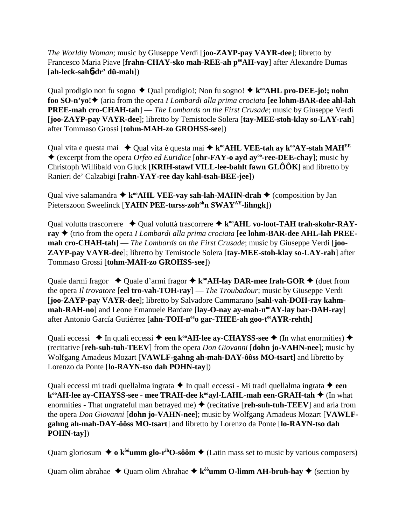*The Worldly Woman*; music by Giuseppe Verdi [**joo-ZAYP-pay VAYR-dee**]; libretto by Francesco Maria Piave [frahn-CHAY-sko mah-REE-ah per AH-vay] after Alexandre Dumas [**ah-leck-sah**6**-dr' dü-mah**])

Qual prodigio non fu sogno  $\triangle$  Qual prodigio!; Non fu sogno!  $\triangle$  k<sup>oo</sup>AHL pro-DEE-jo!; nohn **foo SO-n'yo!** (aria from the opera *I Lombardi alla prima crociata* [**ee lohm-BAR-dee ahl-lah PREE-mah cro-CHAH-tah**] — *The Lombards on the First Crusade*; music by Giuseppe Verdi [**joo-ZAYP-pay VAYR-dee**]; libretto by Temistocle Solera [**tay-MEE-stoh-klay so-LAY-rah**] after Tommaso Grossi [**tohm-MAH-zo GROHSS-see**])

Qual vita e questa mai  $\triangle$  Qual vita è questa mai  $\triangle$  k<sup>oo</sup>AHL VEE-tah ay k<sup>oo</sup>AY-stah MAH<sup>EE</sup> (excerpt from the opera *Orfeo ed Euridice* [**ohr-FAY-o ayd ayoo-ree-DEE-chay**]; music by Christoph Willibald von Gluck [**KRIH-stawf VILL-lee-bahlt fawn GLÔÔK**] and libretto by Ranieri de' Calzabigi [**rahn-YAY-ree day kahl-tsah-BEE-jee**])

Qual vive salamandra  $\triangleq$  k<sup>oo</sup>AHL VEE-vay sah-lah-MAHN-drah  $\triangleq$  (composition by Jan Pieterszoon Sweelinck [YAHN PEE-turss-zoh<sup>oh</sup>n SWAY<sup>AY</sup>-lihngk])

Qual volutta trascorrere  $\rightarrow$  Qual voluttà trascorrere  $\rightarrow$  k<sup>oo</sup>AHL vo-loot-TAH trah-skohr-RAY**ray** (trio from the opera *I Lombardi alla prima crociata* [**ee lohm-BAR-dee AHL-lah PREEmah cro-CHAH-tah**] — *The Lombards on the First Crusade*; music by Giuseppe Verdi [**joo-ZAYP-pay VAYR-dee**]; libretto by Temistocle Solera [**tay-MEE-stoh-klay so-LAY-rah**] after Tommaso Grossi [**tohm-MAH-zo GROHSS-see**])

Quale darmi fragor  $\rightarrow$  Quale d'armi fragor  $\rightarrow$  k<sup>oo</sup>AH-lay DAR-mee frah-GOR  $\rightarrow$  (duet from the opera *Il trovatore* [**eel tro-vah-TOH-ray**] — *The Troubadour*; music by Giuseppe Verdi [**joo-ZAYP-pay VAYR-dee**]; libretto by Salvadore Cammarano [**sahl-vah-DOH-ray kahm**mah-RAH-no] and Leone Emanuele Bardare [lay-O-nay ay-mah-n<sup>oo</sup>AY-lay bar-DAH-ray] after Antonio García Gutiérrez [ahn-TOH-neeo gar-THEE-ah goo-teeAYR-rehth]

Quali eccessi  $\rightarrow$  In quali eccessi  $\rightarrow$  een k<sup>oo</sup>AH-lee ay-CHAYSS-see  $\rightarrow$  (In what enormities)  $\rightarrow$ (recitative [**reh-suh-tuh-TEEV**] from the opera *Don Giovanni* [**dohn jo-VAHN-nee**]; music by Wolfgang Amadeus Mozart [**VAWLF-gahng ah-mah-DAY-ôôss MO-tsart**] and libretto by Lorenzo da Ponte [**lo-RAYN-tso dah POHN-tay**])

Quali eccessi mi tradi quellalma ingrata **→** In quali eccessi - Mi tradi quellalma ingrata → een **k<sup>∞</sup>AH-lee ay-CHAYSS-see - mee TRAH-dee k<sup>∞</sup>ayl-LAHL-mah een-GRAH-tah ◆ (In what** enormities - That ungrateful man betrayed me)  $\blacklozenge$  (recitative [**reh-suh-tuh-TEEV**] and aria from the opera *Don Giovanni* [**dohn jo-VAHN-nee**]; music by Wolfgang Amadeus Mozart [**VAWLFgahng ah-mah-DAY-ôôss MO-tsart**] and libretto by Lorenzo da Ponte [**lo-RAYN-tso dah POHN-tay**])

Quam gloriosum  $\triangleq$  **o**  $k^{00}$ **umm glo-r<sup>ih</sup>O-sôôm**  $\triangleq$  (Latin mass set to music by various composers)

Quam olim abrahae  $\triangle$  Quam olim Abrahae  $\triangle$  k<sup> $\delta\hat{\theta}$ </sup>umm **O-limm AH-bruh-hay**  $\triangle$  (section by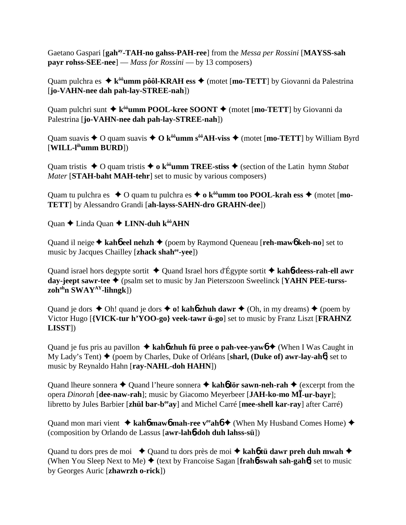Gaetano Gaspari [**gahay-TAH-no gahss-PAH-ree**] from the *Messa per Rossini* [**MAYSS-sah payr rohss-SEE-nee**] — *Mass for Rossini* — by 13 composers)

Quam pulchra es  $\triangle$  k<sup>ôô</sup>umm pôôl-KRAH ess  $\triangle$  (motet [mo-TETT] by Giovanni da Palestrina [**jo-VAHN-nee dah pah-lay-STREE-nah**])

Quam pulchri sunt  $\triangle$  k<sup>ôô</sup>umm POOL-kree SOONT  $\triangle$  (motet [mo-TETT] by Giovanni da Palestrina [**jo-VAHN-nee dah pah-lay-STREE-nah**])

Quam suavis  $\triangle$  O quam suavis  $\triangle$  O k<sup>ôô</sup>**umm** s<sup>ôô</sup>**AH-viss**  $\triangle$  (motet [**mo-TETT**] by William Byrd [**WILL-lihumm BURD**])

Quam tristis  $\triangle$  O quam tristis  $\triangle$  o k<sup> $\delta\hat{\theta}$ </sup>**umm TREE-stiss**  $\triangle$  (section of the Latin *hymn Stabat Mater* [**STAH-baht MAH-tehr**] set to music by various composers)

Quam tu pulchra es  $\triangle$  O quam tu pulchra es  $\triangle$  o  $k^{00}$ **umm too POOL-krah ess**  $\triangle$  (motet [**mo**-**TETT**] by Alessandro Grandi [**ah-layss-SAHN-dro GRAHN-dee**])

Quan  $\triangle$  Linda Quan  $\triangle$  LINN-duh k<sup>ôô</sup>AHN

Quand il neige **kah**6 **eel nehzh** (poem by Raymond Queneau [**reh-maw**6 **keh-no**] set to music by Jacques Chailley [**zhack shahee-yee**])

Quand israel hors degypte sortit Quand Israel hors d'Égypte sortit **kah**6**-deess-rah-ell awr day-jeept sawr-tee** (psalm set to music by Jan Pieterszoon Sweelinck [**YAHN PEE-tursszohohn SWAYAY-lihngk**])

Quand je dors  $\triangle$  Oh! quand je dors  $\triangle$  o! kaho zhuh dawr  $\triangle$  (Oh, in my dreams)  $\triangle$  (poem by Victor Hugo [**{VICK-tur h'YOO-go} veek-tawr ü-go**] set to music by Franz Liszt [**FRAHNZ LISST**])

Quand je fus pris au pavillon  $\triangle$  **kah<sup>6</sup> zhuh fü pree o pah-vee-vaw<sub>0</sub>**  $\triangle$  (When I Was Caught in My Lady's Tent) ◆ (poem by Charles, Duke of Orléans [sharl, (Duke of) awr-lay-ah**6**] set to music by Reynaldo Hahn [**ray-NAHL-doh HAHN**])

Quand lheure sonnera  $\triangle$  Quand l'heure sonnera  $\triangle$  **kah<sup>6</sup> lör sawn-neh-rah**  $\triangle$  (excerpt from the opera *Dinorah* [**dee-naw-rah**]; music by Giacomo Meyerbeer [**JAH-ko-mo M-ur-bayr**]; libretto by Jules Barbier [**zhül bar-beeay**] and Michel Carré [**mee-shell kar-ray**] after Carré)

Quand mon mari vient  $\triangle$  **kah<sup>6</sup> maw<sup>6</sup> mah-ree v<sup>ee</sup>ah<sup>6</sup>**  $\triangle$  (When My Husband Comes Home)  $\triangle$ (composition by Orlando de Lassus [**awr-lah**6**-doh duh lahss-sü**])

Quand tu dors pres de moi ◆ Quand tu dors près de moi ◆ kah6 tü dawr preh duh mwah ◆ (When You Sleep Next to Me)  $\blacklozenge$  (text by Francoise Sagan [frah**6**-swah sah-gah6] set to music by Georges Auric [**zhawrzh o-rick**])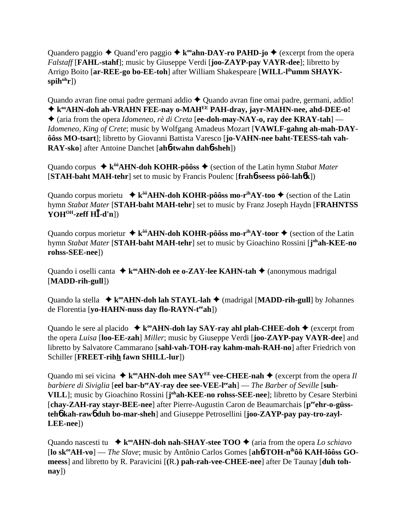Quandero paggio  $\triangleq$  Quand'ero paggio  $\triangleq$  k<sup>oo</sup>**ahn-DAY-ro PAHD-jo**  $\triangleq$  (excerpt from the opera *Falstaff* [**FAHL-stahf**]; music by Giuseppe Verdi [**joo-ZAYP-pay VAYR-dee**]; libretto by Arrigo Boito [ar-REE-go bo-EE-toh] after William Shakespeare [WILL-l<sup>ih</sup>umm SHAYKspih<sup>uh</sup>r])

Quando avran fine omai padre germani addio  $\triangle$  Quando avran fine omai padre, germani, addio! ◆ k<sup>oo</sup>AHN-doh ah-VRAHN FEE-nay o-MAH<sup>EE</sup> PAH-dray, jayr-MAHN-nee, ahd-DEE-o! (aria from the opera *Idomeneo, rè di Creta* [**ee-doh-may-NAY-o, ray dee KRAY-tah**] — *Idomeneo, King of Crete*; music by Wolfgang Amadeus Mozart [**VAWLF-gahng ah-mah-DAYôôss MO-tsart**]; libretto by Giovanni Battista Varesco [**jo-VAHN-nee baht-TEESS-tah vah-RAY-sko**] after Antoine Danchet [**ah**6**-twahn dah**6**-sheh**])

Quando corpus  $\triangleq$  k<sup>ôô</sup>AHN-doh KOHR-pôôss  $\triangleq$  (section of the Latin hymn *Stabat Mater* [**STAH-baht MAH-tehr**] set to music by Francis Poulenc [**frah**6**-seess pôô-lah**6**k**])

Quando corpus morietu  $\star k^{00}$ AHN-doh KOHR-pôôss mo-r<sup>ih</sup>AY-too  $\star$  (section of the Latin hymn *Stabat Mater* [**STAH-baht MAH-tehr**] set to music by Franz Joseph Haydn [**FRAHNTSS YOHOH-zeff H-d'n**])

Quando corpus morietur  $\triangleq k^{ôô}$ AHN-doh KOHR-pôôss mo-r<sup>ih</sup>AY-toor  $\triangleq$  (section of the Latin hymn *Stabat Mater* [**STAH-baht MAH-tehr**] set to music by Gioachino Rossini [**j ohah-KEE-no rohss-SEE-nee**])

Quando i oselli canta  $\triangle$  k<sup>oo</sup>AHN-doh ee o-ZAY-lee KAHN-tah  $\triangle$  (anonymous madrigal [**MADD-rih-gull**])

Quando la stella  $\star k^{\circ}$ **AHN-doh lah STAYL-lah**  $\star$  (madrigal [**MADD-rih-gull**] by Johannes de Florentia [**yo-HAHN-nuss day flo-RAYN-teeah**])

Quando le sere al placido  $\star$  k<sup>oo</sup>AHN-doh lay SAY-ray ahl plah-CHEE-doh  $\star$  (excerpt from the opera *Luisa* [**loo-EE-zah**] *Miller*; music by Giuseppe Verdi [**joo-ZAYP-pay VAYR-dee**] and libretto by Salvatore Cammarano [**sahl-vah-TOH-ray kahm-mah-RAH-no**] after Friedrich von Schiller [**FREET-rihh fawn SHILL-lur**])

Quando mi sei vicina  $\triangle$  **k**<sup>oo</sup>**AHN-doh mee SAY<sup>EE</sup> vee-CHEE-nah**  $\triangle$  (excerpt from the opera *Il barbiere di Siviglia* [eel bar-b<sup>ee</sup>AY-ray dee see-VEE-l<sup>ee</sup>ah] — *The Barber of Seville* [suh-**VILL**]; music by Gioachino Rossini [**j ohah-KEE-no rohss-SEE-nee**]; libretto by Cesare Sterbini [chay-ZAH-ray stayr-BEE-nee] after Pierre-Augustin Caron de Beaumarchais [p<sup>ee</sup>ehr-o-güss**teh**6 **kah-raw**6 **duh bo-mar-sheh**] and Giuseppe Petrosellini [**joo-ZAYP-pay pay-tro-zayl-LEE-nee**])

Quando nascesti tu  $\rightarrow k^{\infty}$ **AHN-doh nah-SHAY-stee TOO**  $\rightarrow$  (aria from the opera *Lo schiavo* [**lo skeeAH-vo**] — *The Slave*; music by Antônio Carlos Gomes [**ah**6**-TOH-nihôô KAH-lôôss GOmeess**] and libretto by R. Paravicini [**(**R.**) pah-rah-vee-CHEE-nee**] after De Taunay [**duh tohnay**])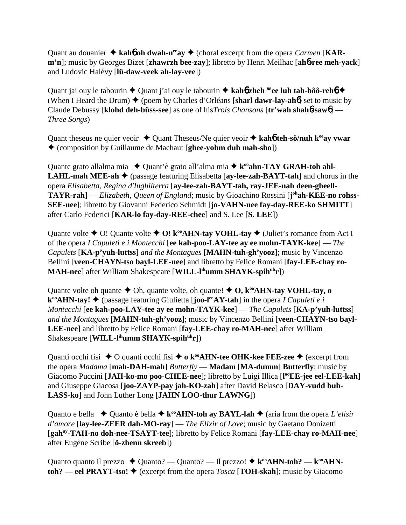Quant au douanier  $\triangle$  kah**6** oh dwah-n<sup>ee</sup>ay  $\triangle$  (choral excerpt from the opera *Carmen* [KAR**m'n**]; music by Georges Bizet [**zhawrzh bee-zay**]; libretto by Henri Meilhac [**ah**6**-ree meh-yack**] and Ludovic Halévy [**lü-daw-veek ah-lay-vee**])

Quant jai ouy le tabourin  $\triangle$  Quant j'ai ouy le tabourin  $\triangle$  kah**6** zheh <sup>ôô</sup>ee luh tah-bôô-reh**6**  $\triangle$ (When I Heard the Drum)  $\blacklozenge$  (poem by Charles d'Orléans [sharl dawr-lay-ah**6**] set to music by Claude Debussy [**klohd deh-büss-see**] as one of his*Trois Chansons* [**tr'wah shah**6**-saw**6] — *Three Songs*)

Quant theseus ne quier veoir  $\triangle$  Quant Theseus/Ne quier veoir  $\triangle$  kah6 teh-sö/nuh k<sup>ee</sup>ay vwar (composition by Guillaume de Machaut [**ghee-yohm duh mah-sho**])

Quante grato allalma mia  $\triangle$  Quant'è grato all'alma mia  $\triangle$  k<sup>oo</sup>ahn-TAY GRAH-toh ahl-**LAHL-mah MEE-ah ♦** (passage featuring Elisabetta [**ay-lee-zah-BAYT-tah**] and chorus in the opera *Elisabetta, Regina d'Inghilterra* [**ay-lee-zah-BAYT-tah, ray-JEE-nah deen-gheell-TAYR-rah**] — *Elizabeth, Queen of England*; music by Gioachino Rossini [**j**<sup>oh</sup>**ah-KEE-no rohss-SEE-nee**]; libretto by Giovanni Federico Schmidt [**jo-VAHN-nee fay-day-REE-ko SHMITT**] after Carlo Federici [**KAR-lo fay-day-REE-chee**] and S. Lee [**S. LEE**])

Quante volte  $\triangle$  O! Quante volte  $\triangle$  O! k<sup>oo</sup>AHN-tay VOHL-tay  $\triangle$  (Juliet's romance from Act I of the opera *I Capuleti e i Montecchi* [**ee kah-poo-LAY-tee ay ee mohn-TAYK-kee**] — *The Capulets* [**KA-p'yuh-luttss**] *and the Montagues* [**MAHN-tuh-gh'yooz**]; music by Vincenzo Bellini [**veen-CHAYN-tso bayl-LEE-nee**] and libretto by Felice Romani [**fay-LEE-chay ro-MAH-nee**] after William Shakespeare [**WILL-lihumm SHAYK-spihuhr**])

Quante volte oh quante  $\triangle$  Oh, quante volte, oh quante!  $\triangle$  O,  $k^{\infty}$ AHN-tay VOHL-tay, o  $\mathbf{k}^{\infty}$ **AHN-tay!**  $\blacklozenge$  (passage featuring Giulietta [**joo-l<sup>ee</sup>AY-tah**] in the opera *I Capuleti e i Montecchi* [**ee kah-poo-LAY-tee ay ee mohn-TAYK-kee**] — *The Capulets* [**KA-p'yuh-luttss**] *and the Montagues* [**MAHN-tuh-gh'yooz**]; music by Vincenzo Bellini [**veen-CHAYN-tso bayl-LEE-nee**] and libretto by Felice Romani [**fay-LEE-chay ro-MAH-nee**] after William Shakespeare [**WILL-l<sup>ih</sup>umm SHAYK-spih<sup>uh</sup>r**])

Quanti occhi fisi  $\triangle$  O quanti occhi fisi  $\triangle$  **o** k<sup>oo</sup>**AHN-tee OHK-kee FEE-zee**  $\triangle$  (excerpt from the opera *Madama* [**mah-DAH-mah**] *Butterfly* — **Madam** [**MA-dumm**] **Butterfly**; music by Giacomo Puccini [JAH-ko-mo poo-CHEE-nee]; libretto by Luigi Illica [l<sup>oo</sup>EE-jee eel-LEE-kah] and Giuseppe Giacosa [**joo-ZAYP-pay jah-KO-zah**] after David Belasco [**DAY-vudd buh-LASS-ko**] and John Luther Long [**JAHN LOO-thur LAWNG**])

Quanto e bella  $\blacklozenge$  Quanto è bella  $\blacklozenge$  k<sup>oo</sup>AHN-toh ay BAYL-lah  $\blacklozenge$  (aria from the opera *L'elisir d'amore* [**lay-lee-ZEER dah-MO-ray**] — *The Elixir of Love*; music by Gaetano Donizetti [**gahay-TAH-no doh-nee-TSAYT-tee**]; libretto by Felice Romani [**fay-LEE-chay ro-MAH-nee**] after Eugène Scribe [**ö-zhenn skreeb**])

Quanto quanto il prezzo  $\triangle$  Quanto? — Quanto? — Il prezzo!  $\triangle$  k<sup>oo</sup>AHN-toh? — k<sup>oo</sup>AHN**toh?** — eel PRAYT-tso!  $\triangle$  (excerpt from the opera *Tosca* [TOH-skah]; music by Giacomo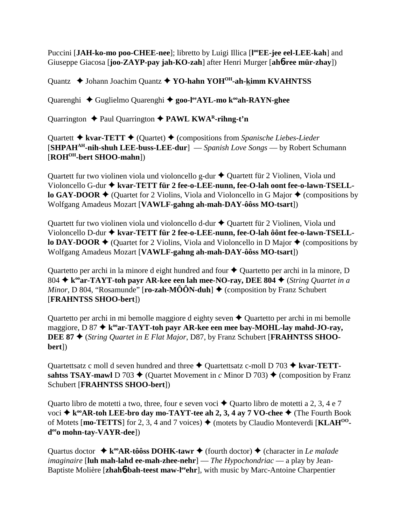Puccini [JAH-ko-mo poo-CHEE-nee]; libretto by Luigi Illica [l<sup>oo</sup>EE-jee eel-LEE-kah] and Giuseppe Giacosa [**joo-ZAYP-pay jah-KO-zah**] after Henri Murger [**ah**6**-ree mür-zhay**])

Quantz  $\triangle$  Johann Joachim Quantz  $\triangle$  YO-hahn YOH<sup>OH</sup>-ah-kimm KVAHNTSS

Quarenghi  $\triangle$  Guglielmo Quarenghi  $\triangle$  goo-l<sup>ee</sup>AYL-mo k<sup>oo</sup>ah-RAYN-ghee

Quarrington  $\triangle$  Paul Quarrington  $\triangle$  PAWL KWA<sup>R</sup>-rihng-t'n

Quartett **→ kvar-TETT** → (Quartet) → (compositions from *Spanische Liebes-Lieder* [**SHPAHAH-nih-shuh LEE-buss-LEE-dur**] — *Spanish Love Songs* — by Robert Schumann [**ROHOH-bert SHOO-mahn**])

Quartett fur two violinen viola und violoncello g-dur  $\triangle$  Quartett für 2 Violinen, Viola und Violoncello G-dur  $\blacklozenge$  kvar-TETT für 2 fee-o-LEE-nunn, fee-O-lah oont fee-o-lawn-TSELL**lo GAY-DOOR**  $\blacklozenge$  (Quartet for 2 Violins, Viola and Violoncello in G Major  $\blacklozenge$  (compositions by Wolfgang Amadeus Mozart [**VAWLF-gahng ah-mah-DAY-ôôss MO-tsart**])

Quartett fur two violinen viola und violoncello d-dur  $\triangle$  Quartett für 2 Violinen, Viola und Violoncello D-dur  $\blacklozenge$  kvar-TETT für 2 fee-o-LEE-nunn, fee-O-lah ôônt fee-o-lawn-TSELL**lo DAY-DOOR**  $\blacklozenge$  (Quartet for 2 Violins, Viola and Violoncello in D Major  $\blacklozenge$  (compositions by Wolfgang Amadeus Mozart [**VAWLF-gahng ah-mah-DAY-ôôss MO-tsart**])

Quartetto per archi in la minore d eight hundred and four  $\triangle$  Quartetto per archi in la minore, D 804  $\star$  k<sup>oo</sup>ar-TAYT-toh payr AR-kee een lah mee-NO-ray, DEE 804  $\star$  (*String Quartet in a Minor*, D 804, "Rosamunde" [**ro-zah-MÔÔN-duh**]  $\blacklozenge$  (composition by Franz Schubert [**FRAHNTSS SHOO-bert**])

Quartetto per archi in mi bemolle maggiore d eighty seven  $\triangle$  Quartetto per archi in mi bemolle maggiore,  $D \cdot 87 \triangleq k^{\omega}$ ar-TAYT-toh payr AR-kee een mee bay-MOHL-lay mahd-JO-ray, **DEE 87** (*String Quartet in E Flat Major*, D87, by Franz Schubert [**FRAHNTSS SHOObert**])

Quartettsatz c moll d seven hundred and three  $\triangle$  Quartettsatz c-moll D 703  $\triangle$  kvar-TETT**sahtss TSAY-mawl** D 703  $\blacklozenge$  (Quartet Movement in *c* Minor D 703)  $\blacklozenge$  (composition by Franz Schubert [**FRAHNTSS SHOO-bert**])

Quarto libro de motetti a two, three, four e seven voci  $\triangle$  Quarto libro de motetti a 2, 3, 4 e 7 voci **→ k<sup>oo</sup>AR-toh LEE-bro day mo-TAYT-tee ah 2, 3, 4 ay 7 VO-chee →** (The Fourth Book of Motets  ${\bf [mo-TETTS]}$  for 2, 3, 4 and 7 voices)  $\blacklozenge$  (motets by Claudio Monteverdi  ${\bf [KLAH^{OO}]}$ **deeo mohn-tay-VAYR-dee**])

Quartus doctor  $\triangle$  k<sup>oo</sup>AR-tôôss DOHK-tawr  $\triangle$  (fourth doctor)  $\triangle$  (character in *Le malade imaginaire* [**luh mah-lahd ee-mah-zhee-nehr**] — *The Hypochondriac* — a play by Jean-Baptiste Molière [zhah**6-bah-teest maw-l<sup>ee</sup>ehr**], with music by Marc-Antoine Charpentier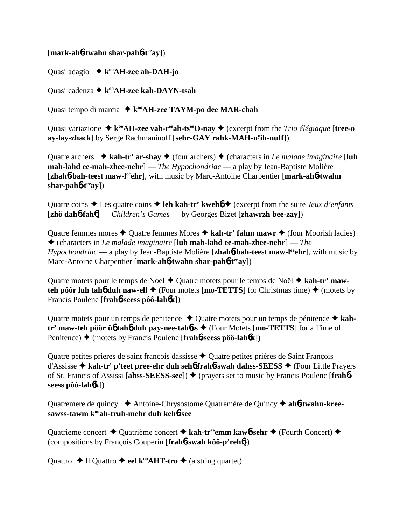## [**mark-ah**6**-twahn shar-pah**6**-teeay**])

Quasi adagio  $\star$  k<sup>oo</sup>AH-zee ah-DAH-jo

Quasi cadenza **↓ k<sup>oo</sup>AH-zee kah-DAYN-tsah** 

Quasi tempo di marcia  $\triangle$  k<sup>oo</sup>AH-zee TAYM-po dee MAR-chah

Quasi variazione  $\triangle$  **k**<sup>oo</sup>**AH-zee vah-r<sup>ee</sup>ah-ts<sup>ee</sup>O-nay**  $\triangle$  (excerpt from the *Trio élégiaque* [**tree-o ay-lay-zhack**] by Serge Rachmaninoff [**sehr-GAY rahk-MAH-ny ih-nuff**])

Quatre archers  $\triangle$  **kah-tr' ar-shay**  $\triangle$  (four archers)  $\triangle$  (characters in *Le malade imaginaire* [luh **mah-lahd ee-mah-zhee-nehr**] — *The Hypochondriac* — a play by Jean-Baptiste Molière [**zhah<sup>6</sup>-bah-teest maw-l<sup>ee</sup>ghr**], with music by Marc-Antoine Charpentier [**mark-ah<sup>6</sup>-twahn**] shar-pah**6**-t<sup>ee</sup>ay])

Quatre coins  $\triangle$  Les quatre coins  $\triangle$  **leh kah-tr' kweh**6  $\triangle$  (excerpt from the suite *Jeux d'enfants* [**zhö dah**6**-fah**6] — *Children's Games* — by Georges Bizet [**zhawrzh bee-zay**])

Quatre femmes mores  $\triangle$  Quatre femmes Mores  $\triangle$  kah-tr' fahm mawr  $\triangle$  (four Moorish ladies) (characters in *Le malade imaginaire* [**luh mah-lahd ee-mah-zhee-nehr**] — *The Hypochondriac* — a play by Jean-Baptiste Molière [**zhah6-bah-teest maw-l<sup>ee</sup>ehr**], with music by Marc-Antoine Charpentier [**mark-ah**6**-twahn shar-pah**6**-teeay**])

Quatre motets pour le temps de Noel  $\triangle$  Quatre motets pour le temps de Noël  $\triangle$  kah-tr' maw**teh pôôr luh tahb duh naw-ell**  $\blacklozenge$  (Four motets [**mo-TETTS**] for Christmas time)  $\blacklozenge$  (motets by Francis Poulenc [**frah**6**-seess pôô-lah**6**k**])

Quatre motets pour un temps de penitence  $\blacklozenge$  Quatre motets pour un temps de pénitence  $\blacklozenge$  kah**tr' maw-teh pôôr ü**6 **tah**6 **duh pay-nee-tah**6**ss** (Four Motets [**mo-TETTS**] for a Time of Penitence) ◆ (motets by Francis Poulenc [frah**6**-seess pôô-lah**6k**])

Quatre petites prieres de saint françois dassisse  $\triangle$  Quatre petites prières de Saint François d'Assisse **kah-tr' p'teet pree-ehr duh seh**6 **frah**6**-swah dahss-SEESS** (Four Little Prayers of St. Francis of Assissi [ahss-SEESS-see])  $\blacklozenge$  (prayers set to music by Francis Poulenc [frahb**seess pôô-lah**6**k**])

Quatremere de quincy  $\triangle$  Antoine-Chrysostome Quatremère de Quincy  $\triangle$  ah**6-twahn-kreesawss-tawm kooah-truh-mehr duh keh**6**-see**

Quatrieme concert  $\triangle$  Quatrième concert  $\triangle$  kah-tr<sup>ee</sup>emm kaw**6**-sehr  $\triangle$  (Fourth Concert)  $\triangle$ (compositions by François Couperin [**frah**6**-swah kôô-p'reh**6])

Quattro  $\triangle$  Il Quattro  $\triangle$  eel k<sup>oo</sup>AHT-tro  $\triangle$  (a string quartet)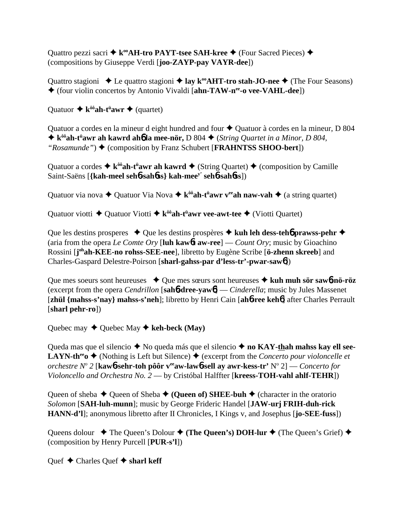Quattro pezzi sacri  $\blacklozenge$  k<sup>oo</sup>AH-tro PAYT-tsee SAH-kree  $\blacklozenge$  (Four Sacred Pieces)  $\blacklozenge$ (compositions by Giuseppe Verdi [**joo-ZAYP-pay VAYR-dee**])

Quattro stagioni  $\triangle$  Le quattro stagioni  $\triangle$  **lay k<sup>oo</sup>AHT-tro stah-JO-nee**  $\triangle$  (The Four Seasons) (four violin concertos by Antonio Vivaldi [**ahn-TAW-nee-o vee-VAHL-dee**])

Quatuor ◆ k<sup>ôô</sup>ah-t<sup>ü</sup>awr ◆ (quartet)

Quatuor a cordes en la mineur d eight hundred and four  $\triangle$  Quatuor à cordes en la mineur, D 804 ◆ k<sup>ôô</sup>ah-t<sup>ü</sup>awr ah kawrd ah**6** la mee-nör, D 804 ◆ (*String Quartet in a Minor, D 804*, *"Rosamunde"*) ◆ (composition by Franz Schubert [**FRAHNTSS SHOO-bert**])

Quatuor a cordes  $\triangleq$  k<sup>ôô</sup>**ah-t<sup>ü</sup>awr ah kawrd**  $\triangleq$  (String Quartet)  $\triangleq$  (composition by Camille Saint-Saëns [**{kah-meel seh**6**-sah**6**ss} kah-meey' seh**6**-sah**6**ss**])

Quatuor via nova  $\blacklozenge$  Quatuor Via Nova  $\blacklozenge$  k<sup>ôô</sup>ah-t<sup>ü</sup>awr v<sup>ee</sup>ah naw-vah  $\blacklozenge$  (a string quartet)

Quatuor viotti  $\triangle$  Quatuor Viotti  $\triangle$  k<sup>ôô</sup>ah-t<sup>ü</sup>awr vee-awt-tee  $\triangle$  (Viotti Quartet)

Que les destins prosperes  $\triangle$  Que les destins prospères  $\triangle$  kuh leh dess-teh**6** prawss-pehr  $\triangle$ (aria from the opera *Le Comte Ory* [**luh kaw**6**t aw-ree**] — *Count Ory*; music by Gioachino Rossini [**j ohah-KEE-no rohss-SEE-nee**], libretto by Eugène Scribe [**ö-zhenn skreeb**] and Charles-Gaspard Delestre-Poirson [**sharl-gahss-par d'less-tr'-pwar-saw**6])

Que mes soeurs sont heureuses  $\rightarrow$  Que mes sœurs sont heureuses  $\rightarrow$  kuh muh sör sawb-nö-röz (excerpt from the opera *Cendrillon* [**sah**6**-dree-yaw**6] — *Cinderella*; music by Jules Massenet [**zhül {mahss-s'nay} mahss-s'neh**]; libretto by Henri Cain [**ah**6**-ree keh**6] after Charles Perrault [**sharl pehr-ro**])

Quebec may  $\blacklozenge$  Quebec May  $\blacklozenge$  keh-beck (May)

Queda mas que el silencio  $\blacklozenge$  No queda más que el silencio  $\blacklozenge$  **no KAY-thah mahss kay ell see-LAYN-th<sup>ee</sup>o**  $\blacklozenge$  (Nothing is Left but Silence)  $\blacklozenge$  (excerpt from the *Concerto pour violoncelle et orchestre No 2* [**kaw**6**-sehr-toh pôôr veeaw-law**6**-sell ay awr-kess-tr'** No 2] — *Concerto for Violoncello and Orchestra No. 2* — by Cristóbal Halffter [**kreess-TOH-vahl ahlf-TEHR**])

Queen of sheba  $\blacklozenge$  Queen of Sheba  $\blacklozenge$  (Queen of) SHEE-buh  $\blacklozenge$  (character in the oratorio *Solomon* [**SAH-luh-munn**]; music by George Frideric Handel [**JAW-urj FRIH-duh-rick HANN-d'l**]; anonymous libretto after II Chronicles, I Kings v, and Josephus [**jo-SEE-fuss**])

Queens dolour  $\blacklozenge$  The Queen's Dolour  $\blacklozenge$  (**The Queen's) DOH-lur**  $\blacklozenge$  (The Queen's Grief)  $\blacklozenge$ (composition by Henry Purcell [**PUR-s'l**])

Quef  $\triangle$  Charles Quef  $\triangle$  sharl keff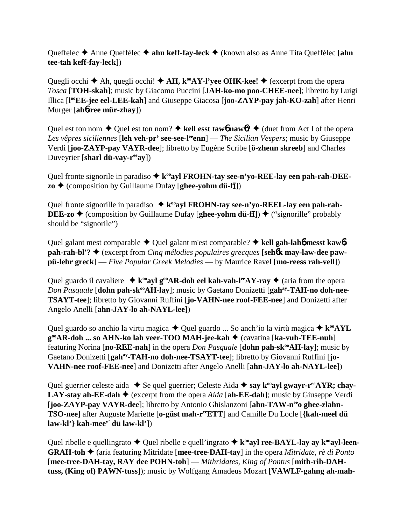Queffelec **→** Anne Queffélec **→ ahn keff-fay-leck →** (known also as Anne Tita Queffélec [ahn **tee-tah keff-fay-leck**])

Quegli occhi  $\blacklozenge$  Ah, quegli occhi!  $\blacklozenge$  AH, k<sup>oo</sup>AY-l'yee OHK-kee!  $\blacklozenge$  (excerpt from the opera *Tosca* [**TOH-skah**]; music by Giacomo Puccini [**JAH-ko-mo poo-CHEE-nee**]; libretto by Luigi Illica [**l ooEE-jee eel-LEE-kah**] and Giuseppe Giacosa [**joo-ZAYP-pay jah-KO-zah**] after Henri Murger [**ah**6**-ree mür-zhay**])

Quel est ton nom  $\triangle$  Quel est ton nom?  $\triangle$  kell esst taw6 naw6?  $\triangle$  (duet from Act I of the opera *Les vêpres siciliennes* [**leh veh-pr' see-see-leeenn**] — *The Sicilian Vespers*; music by Giuseppe Verdi [**joo-ZAYP-pay VAYR-dee**]; libretto by Eugène Scribe [**ö-zhenn skreeb**] and Charles Duveyrier [**sharl dü-vay-reeay**])

Quel fronte signorile in paradiso  $\triangle$  k<sup>oo</sup>ayl FROHN-tay see-n'yo-REE-lay een pah-rah-DEE**zo ♦** (composition by Guillaume Dufay [**ghee-yohm dü-fī**])

Ouel fronte signorille in paradiso **→ k<sup>oo</sup>ayl FROHN-tay see-n'yo-REEL-lay een pah-rah-DEE-zo ♦** (composition by Guillaume Dufay [**ghee-yohm dü-fi**]) ♦ ("signorille" probably should be "signorile")

Quel galant mest comparable  $\triangle$  Quel galant m'est comparable?  $\triangle$  kell gah-lah**6** messt kaw**6 pah-rah-bl'?** (excerpt from *Cinq mélodies populaires grecques* [**seh**6**k may-law-dee pawpü-lehr greck**] — *Five Popular Greek Melodies* — by Maurice Ravel [**mo-reess rah-vell**])

Quel guardo il cavaliere  $\triangleq$  k<sup>oo</sup>ayl g<sup>oo</sup>AR-doh eel kah-vah-l<sup>ee</sup>AY-ray  $\triangleq$  (aria from the opera *Don Pasquale* [dohn pah-sk<sup>oo</sup>AH-lay]; music by Gaetano Donizetti [gah<sup>ay</sup>-TAH-no doh-nee-**TSAYT-tee**]; libretto by Giovanni Ruffini [**jo-VAHN-nee roof-FEE-nee**] and Donizetti after Angelo Anelli [**ahn-JAY-lo ah-NAYL-lee**])

Quel guardo so anchio la virtu magica  $\triangle$  Quel guardo ... So anch'io la virtù magica  $\triangle$  k<sup>oo</sup>AYL **g<sup>°</sup>AR-doh ... so AHN-ko lah veer-TOO MAH-jee-kah ♦** (cavatina [ka-vuh-TEE-nuh] featuring Norina [**no-REE-nah**] in the opera *Don Pasquale* [**dohn pah-sk<sup>oo</sup>AH-lay**]; music by Gaetano Donizetti [**gahay-TAH-no doh-nee-TSAYT-tee**]; libretto by Giovanni Ruffini [**jo-VAHN-nee roof-FEE-nee**] and Donizetti after Angelo Anelli [**ahn-JAY-lo ah-NAYL-lee**])

Quel guerrier celeste aida  $\bullet$  Se quel guerrier; Celeste Aida  $\bullet$  say k<sup>oo</sup>ayl gwayr-r<sup>ee</sup>AYR; chay-**LAY-stay ah-EE-dah**  $\blacklozenge$  (excerpt from the opera *Aida* [ah-EE-dah]; music by Giuseppe Verdi [**joo-ZAYP-pay VAYR-dee**]; libretto by Antonio Ghislanzoni [ahn-TAW-n<sup>ee</sup>o ghee-zlahn-**TSO-nee**] after Auguste Mariette [**o-güst mah-reeETT**] and Camille Du Locle [**{kah-meel dü law-kl'} kah-meey' dü law-kl'**])

Quel ribelle e quellingrato  $\triangle$  Quel ribelle e quell'ingrato  $\triangle$  k<sup>oo</sup>ayl ree-BAYL-lay ay k<sup>oo</sup>ayl-leen-**GRAH-toh ♦** (aria featuring Mitridate [mee-tree-DAH-tay] in the opera *Mitridate, rè di Ponto* [**mee-tree-DAH-tay, RAY dee POHN-toh**] — *Mithridates, King of Pontus* [**mith-rih-DAHtuss, (King of) PAWN-tuss**]); music by Wolfgang Amadeus Mozart [**VAWLF-gahng ah-mah-**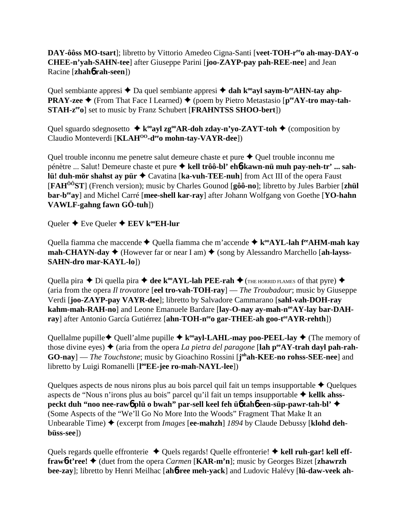**DAY-ôôss MO-tsart**]; libretto by Vittorio Amedeo Cigna-Santi [**veet-TOH-reeo ah-may-DAY-o CHEE-n'yah-SAHN-tee**] after Giuseppe Parini [**joo-ZAYP-pay pah-REE-nee**] and Jean Racine [**zhah**6 **rah-seen**])

Quel sembiante appresi  $\triangle$  Da quel sembiante appresi  $\triangle$  dah k<sup>oo</sup>ayl saym-b<sup>ee</sup>AHN-tay ahp-**PRAY-zee ♦** (From That Face I Learned) ♦ (poem by Pietro Metastasio [ $p^{ee}$ AY-tro may-tah-**STAH-z<sup>ee</sup>o**] set to music by Franz Schubert [**FRAHNTSS SHOO-bert**])

Quel sguardo sdegnosetto  $\triangle$  k<sup>oo</sup>ayl zg<sup>oo</sup>AR-doh zday-n'yo-ZAYT-toh  $\triangle$  (composition by Claudio Monteverdi [**KLAHOO-deeo mohn-tay-VAYR-dee**])

Quel trouble inconnu me penetre salut demeure chaste et pure  $\triangle$  Quel trouble inconnu me pénètre ... Salut! Demeure chaste et pure **kell trôô-bl' eh**6**-kawn-nü muh pay-neh-tr' ... sahlü! duh-mör shahst ay pür ♦ Cavatina [ka-vuh-TEE-nuh]** from Act III of the opera Faust [**FAHÔÔST**] (French version); music by Charles Gounod [**gôô-no**]; libretto by Jules Barbier [**zhül bar-beeay**] and Michel Carré [**mee-shell kar-ray**] after Johann Wolfgang von Goethe [**YO-hahn VAWLF-gahng fawn GÖ-tuh**])

Queler **←** Eve Queler **← EEV k<sup>oo</sup>EH-lur** 

Quella fiamma che maccende  $\triangle$  Quella fiamma che m'accende  $\triangle$  k<sup>oo</sup>AYL-lah f<sup>ee</sup>AHM-mah kay **mah-CHAYN-day**  $\blacklozenge$  (However far or near I am)  $\blacklozenge$  (song by Alessandro Marchello [ah-layss-**SAHN-dro mar-KAYL-lo**])

Quella pira  $\triangle$  Di quella pira  $\triangle$  dee k<sup>oo</sup>AYL-lah PEE-rah  $\triangle$  (The HORRID FLAMES of that pyre)  $\triangle$ (aria from the opera *Il trovatore* [**eel tro-vah-TOH-ray**] — *The Troubadour*; music by Giuseppe Verdi [**joo-ZAYP-pay VAYR-dee**]; libretto by Salvadore Cammarano [**sahl-vah-DOH-ray** kahm-mah-RAH-no] and Leone Emanuele Bardare [lay-O-nay ay-mah-n<sup>oo</sup>AY-lay bar-DAHray] after Antonio García Gutiérrez [ahn-TOH-neeo gar-THEE-ah goo-teeAYR-rehth])

Quellalme pupille  $\blacklozenge$  Quell'alme pupille  $\blacklozenge$  **k**<sup>oo</sup>**ayl-LAHL-may poo-PEEL-lay**  $\blacklozenge$  (The memory of those divine eyes)  $\triangle$  (aria from the opera *La pietra del paragone* [lah  $p^{ee}AY$ -trah dayl pah-rah-GO-nay] — *The Touchstone*; music by Gioachino Rossini [j<sup>oh</sup>ah-KEE-no rohss-SEE-nee] and libretto by Luigi Romanelli [**l ooEE-jee ro-mah-NAYL-lee**])

Quelques aspects de nous nirons plus au bois parcel quil fait un temps insupportable  $\triangle$  Quelques aspects de "Nous n'irons plus au bois" parcel qu'il fait un temps insupportable **kellk ahsspeckt duh "noo nee-raw**6 **plü o bwah" par-sell keel feh ü**6 **tah**6 **een-süp-pawr-tah-bl'** (Some Aspects of the "We'll Go No More Into the Woods" Fragment That Make It an Unbearable Time) ♦ (excerpt from *Images* [ee-mahzh] *1894* by Claude Debussy [klohd deh**büss-see**])

Quels regards quelle effronterie  $\triangle$  Quels regards! Quelle effronterie!  $\triangle$  kell ruh-gar! kell eff**frawb-t'ree! ◆** (duet from the opera *Carmen* [**KAR-m'n**]; music by Georges Bizet [zhawrzh **bee-zay**]; libretto by Henri Meilhac [**ah**6**-ree meh-yack**] and Ludovic Halévy [**lü-daw-veek ah-**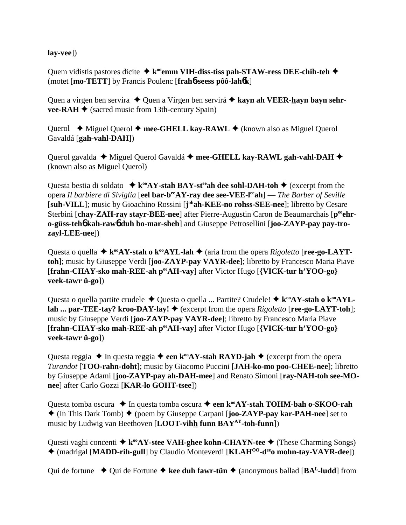**lay-vee**])

Quem vidistis pastores dicite  $\triangle$  k<sup>oo</sup>emm VIH-diss-tiss pah-STAW-ress DEE-chih-teh  $\triangle$ (motet [**mo-TETT**] by Francis Poulenc [**frah**6**-seess pôô-lah**6**k**]

Quen a virgen ben servira ◆ Quen a Virgen ben servirá ◆ kayn ah VEER-hayn bayn sehr**vee-RAH**  $\blacklozenge$  (sacred music from 13th-century Spain)

Querol  $\blacklozenge$  Miguel Querol  $\blacklozenge$  mee-GHELL kay-RAWL  $\blacklozenge$  (known also as Miguel Querol Gavaldá [**gah-vahl-DAH**])

Querol gavalda **→** Miguel Querol Gavaldá → mee-GHELL kay-RAWL gah-vahl-DAH → (known also as Miguel Querol)

Questa bestia di soldato  $\star k^{\infty}AY$ -stah BAY-st<sup>ee</sup>ah dee sohl-DAH-toh  $\star$  (excerpt from the opera *Il barbiere di Siviglia* [eel bar-b<sup>ee</sup>AY-ray dee see-VEE-l<sup>ee</sup>ah] — *The Barber of Seville* [suh-VILL]; music by Gioachino Rossini [johah-KEE-no rohss-SEE-nee]; libretto by Cesare Sterbini [chay-ZAH-ray stayr-BEE-nee] after Pierre-Augustin Caron de Beaumarchais [p<sup>ee</sup>ehr**o-güss-teh**6 **kah-raw**6 **duh bo-mar-sheh**] and Giuseppe Petrosellini [**joo-ZAYP-pay pay-trozayl-LEE-nee**])

Questa o quella  $\triangleq$   $k^{\infty}AY-stah$  o  $k^{\infty}AYL-lah$   $\triangleq$  (aria from the opera *Rigoletto* [**ree-go-LAYTtoh**]; music by Giuseppe Verdi [**joo-ZAYP-pay VAYR-dee**]; libretto by Francesco Maria Piave [**frahn-CHAY-sko mah-REE-ah peeAH-vay**] after Victor Hugo [**{VICK-tur h'YOO-go} veek-tawr ü-go**])

Questa o quella partite crudele  $\triangle$  Questa o quella ... Partite? Crudele!  $\triangle$  k<sup>oo</sup>AY-stah o k<sup>oo</sup>AYL**lah ... par-TEE-tay? kroo-DAY-lay! ♦** (excerpt from the opera *Rigoletto* [**ree-go-LAYT-toh**]; music by Giuseppe Verdi [**joo-ZAYP-pay VAYR-dee**]; libretto by Francesco Maria Piave [**frahn-CHAY-sko mah-REE-ah peeAH-vay**] after Victor Hugo [**{VICK-tur h'YOO-go} veek-tawr ü-go**])

Questa reggia  $\triangle$  In questa reggia  $\triangle$  een k<sup>oo</sup>AY-stah RAYD-jah  $\triangle$  (excerpt from the opera *Turandot* [**TOO-rahn-doht**]; music by Giacomo Puccini [**JAH-ko-mo poo-CHEE-nee**]; libretto by Giuseppe Adami [**joo-ZAYP-pay ah-DAH-mee**] and Renato Simoni [**ray-NAH-toh see-MOnee**] after Carlo Gozzi [**KAR-lo GOHT-tsee**])

Questa tomba oscura  $\triangle$  In questa tomba oscura  $\triangle$  een k<sup>oo</sup>AY-stah TOHM-bah o-SKOO-rah (In This Dark Tomb) (poem by Giuseppe Carpani [**joo-ZAYP-pay kar-PAH-nee**] set to music by Ludwig van Beethoven [**LOOT-vihh funn BAYAY-toh-funn**])

Questi vaghi concenti  $\triangleq$  k<sup>oo</sup>AY-stee VAH-ghee kohn-CHAYN-tee  $\triangleq$  (These Charming Songs) (madrigal [**MADD-rih-gull**] by Claudio Monteverdi [**KLAHOO-deeo mohn-tay-VAYR-dee**])

Qui de fortune  $\rightarrow$  Qui de Fortune  $\rightarrow$  kee duh fawr-tün  $\rightarrow$  (anonymous ballad [BA<sup>L</sup>-ludd] from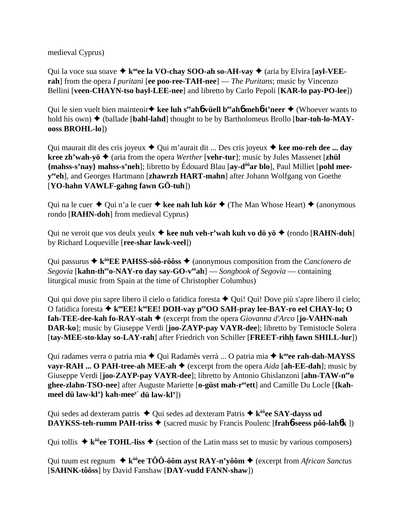medieval Cyprus)

Qui la voce sua soave  $\triangle$  k<sup>oo</sup>ee la VO-chay SOO-ah so-AH-vay  $\triangle$  (aria by Elvira [ayl-VEE**rah**] from the opera *I puritani* [**ee poo-ree-TAH-nee**] — *The Puritans*; music by Vincenzo Bellini [**veen-CHAYN-tso bayl-LEE-nee**] and libretto by Carlo Pepoli [**KAR-lo pay-PO-lee**])

Qui le sien vuelt bien maintenir • kee luh s<sup>ee</sup>ah**6** vüell b<sup>ee</sup>ah**6** meh**6-t'neer** • (Whoever wants to hold his own)  $\blacklozenge$  (ballade [bahl-lahd] thought to be by Bartholomeus Brollo [bar-toh-lo-MAY**ooss BROHL-lo**])

Qui maurait dit des cris joyeux **→** Qui m'aurait dit ... Des cris joyeux **→ kee mo-reh dee ... day kree zh'wah-yö** (aria from the opera *Werther* [**vehr-tur**]; music by Jules Massenet [**zhül {mahss-s'nay} mahss-s'neh**]; libretto by Édouard Blau [**ay-dôôar blo**], Paul Milliet [**pohl meeyeeeh**], and Georges Hartmann [**zhawrzh HART-mahn**] after Johann Wolfgang von Goethe [**YO-hahn VAWLF-gahng fawn GÖ-tuh**])

Qui na le cuer  $\triangle$  Qui n'a le cuer  $\triangle$  kee nah luh kör  $\triangle$  (The Man Whose Heart)  $\triangle$  (anonymous rondo [**RAHN-doh**] from medieval Cyprus)

Qui ne veroit que vos deulx yeulx  $\triangle$  kee nuh veh-r'wah kuh vo dö yö  $\triangle$  (rondo [RAHN-doh] by Richard Loqueville [**ree-shar lawk-veel**])

Qui passurus **→ k<sup>ôô</sup>EE PAHSS-sôô-rôôss →** (anonymous composition from the *Cancionero de Segovia* [**kahn-theeo-NAY-ro day say-GO-veeah**] — *Songbook of Segovia* — containing liturgical music from Spain at the time of Christopher Columbus)

Qui qui dove piu sapre libero il cielo o fatidica foresta  $\triangle$  Qui! Qui! Dove più s'apre libero il cielo; O fatidica foresta **→ k<sup>oo</sup>EE! k<sup>oo</sup>EE! DOH-vay p<sup>ee</sup>OO SAH-pray lee-BAY-ro eel CHAY-lo; O fah-TEE-dee-kah fo-RAY-stah** (excerpt from the opera *Giovanna d'Arco* [**jo-VAHN-nah DAR-ko**]; music by Giuseppe Verdi [**joo-ZAYP-pay VAYR-dee**]; libretto by Temistocle Solera [**tay-MEE-sto-klay so-LAY-rah**] after Friedrich von Schiller [**FREET-rihh fawn SHILL-lur**])

Qui radames verra o patria mia ◆ Qui Radamès verrà ... O patria mia ◆ k<sup>oo</sup>ee rah-dah-MAYSS **vayr-RAH ... O PAH-tree-ah MEE-ah**  $\blacklozenge$  (excerpt from the opera *Aida* [ah-EE-dah]; music by Giuseppe Verdi [**joo-ZAYP-pay VAYR-dee**]; libretto by Antonio Ghislanzoni [**ahn-TAW-neeo ghee-zlahn-TSO-nee**] after Auguste Mariette [**o-güst mah-reeett**] and Camille Du Locle [**{kahmeel dü law-kl'} kah-meey' dü law-kl'**])

Qui sedes ad dexteram patris  $\triangle$  Qui sedes ad dexteram Patris  $\triangle$  k<sup>ôô</sup>ee SAY-dayss ud **DAYKSS-teh-rumm PAH-triss ♦** (sacred music by Francis Poulenc [frahb-seess pôô-lahbk ])

Qui tollis  $\triangleq$  k<sup> $\delta\hat{\theta}$ </sup>ee TOHL-liss  $\triangleq$  (section of the Latin mass set to music by various composers)

Qui tuum est regnum  $\triangleq$   $k^{\hat{o}\hat{o}}$ ee TÔÔ-ôôm ayst RAY-n'yôôm  $\triangleq$  (excerpt from *African Sanctus* [**SAHNK-tôôss**] by David Fanshaw [**DAY-vudd FANN-shaw**])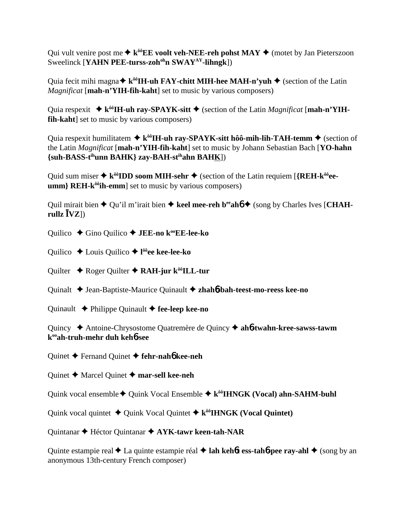Qui vult venire post me  $\triangle$  k<sup> $\hat{\theta}$ </sup>**EE voolt veh-NEE-reh pohst MAY**  $\triangle$  (motet by Jan Pieterszoon Sweelinck [YAHN PEE-turss-zoh<sup>oh</sup>n SWAY<sup>AY</sup>-lihngk])

Quia fecit mihi magna  $\triangle$  k<sup> $\delta \delta$ </sup>**IH-uh FAY-chitt MIH-hee MAH-n'yuh**  $\triangle$  (section of the Latin *Magnificat* [**mah-n'YIH-fih-kaht**] set to music by various composers)

Quia respexit  $\blacklozenge$  k<sup> $\delta\delta$ </sup>**IH-uh ray-SPAYK-sitt**  $\blacklozenge$  (section of the Latin *Magnificat* [mah-n'YIH**fih-kaht**] set to music by various composers)

Quia respexit humilitatem  $\triangleq k^{\hat{o}\hat{o}}$ **IH-uh ray-SPAYK-sitt hôô-mih-lih-TAH-temm**  $\triangleq$  (section of the Latin *Magnificat* [**mah-n'YIH-fih-kaht**] set to music by Johann Sebastian Bach [**YO-hahn {suh-BASS-tihunn BAHK} zay-BAH-stihahn BAHK**])

Quid sum miser  $\triangle$  k<sup> $\delta\hat{\theta}$ </sup>**IDD soom MIH-sehr**  $\triangle$  (section of the Latin requiem [{REH-k $\hat{\theta}$ <sup> $\hat{\theta}$ </sup>ee**umm**} **REH-k<sup>ôô</sup>ih-emm**] set to music by various composers)

Quil mirait bien  $\triangle$  Qu'il m'irait bien  $\triangle$  keel mee-reh b<sup>ee</sup> ah  $\triangle$  (song by Charles Ives [CHAH $rullz$  $\overline{[VZ]}$ 

Quilico **←** Gino Quilico ← **JEE-no k<sup>oo</sup>EE-lee-ko** 

Quilico Louis Quilico **l ôôee kee-lee-ko**

Quilter **←** Roger Quilter ← RAH-jur k<sup>ôô</sup>ILL-tur

Quinalt Jean-Baptiste-Maurice Quinault **zhah**6**-bah-teest-mo-reess kee-no**

Quinault Philippe Quinault **fee-leep kee-no**

Quincy Antoine-Chrysostome Quatremère de Quincy **ah**6**-twahn-kree-sawss-tawm kooah-truh-mehr duh keh**6**-see**

Quinet Fernand Quinet **fehr-nah**6 **kee-neh**

Quinet **→** Marcel Quinet **→ mar-sell kee-neh** 

Quink vocal ensemble  $\triangle$  Quink Vocal Ensemble  $\triangle$  k<sup>ôô</sup>IHNGK (Vocal) ahn-SAHM-buhl

Quink vocal quintet  $\triangle$  Quink Vocal Quintet  $\triangle$  k<sup> $\delta\delta$ </sup>**HNGK** (Vocal Quintet)

Quintanar Héctor Quintanar **AYK-tawr keen-tah-NAR**

Quinte estampie real **→** La quinte estampie réal **→ lah kehôt ess-tahô-pee ray-ahl** → (song by an anonymous 13th-century French composer)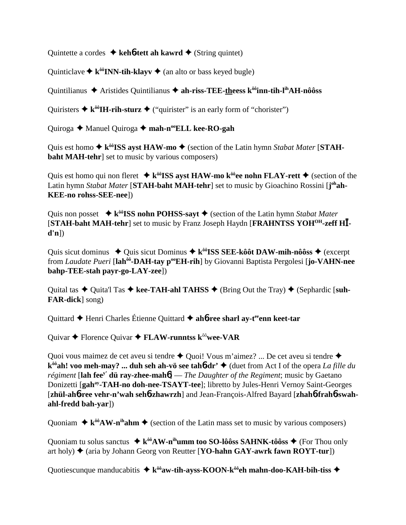Quintette a cordes **↓ keh<sup>6</sup>-tett ah kawrd ◆** (String quintet)

Quinticlave  $\triangle$  k<sup> $\delta \delta$ </sup>**INN-tih-klayv**  $\triangle$  (an alto or bass keyed bugle)

Quintilianus ◆ Aristides Quintilianus ◆ ah-riss-TEE-theess k<sup>ôô</sup>inn-tih-l<sup>ih</sup>AH-nôôss

Quiristers  $\triangle$  **k**<sup> $\delta \delta$ </sup>**HI-rih-sturz**  $\triangle$  ("quirister" is an early form of "chorister")

Quiroga **→** Manuel Quiroga → mah-n<sup>oo</sup>ELL kee-RO-gah

Quis est homo  $\triangle$  k<sup> $\delta\hat{\theta}$ </sup>**ISS ayst HAW-mo**  $\triangle$  (section of the Latin hymn *Stabat Mater* [**STAHbaht MAH-tehr**] set to music by various composers)

Quis est homo qui non fleret  $\triangleq$  k<sup> $\delta\delta$ </sup>**ISS ayst HAW-mo k**<sup> $\delta\delta$ </sup>**ee nohn FLAY-rett**  $\triangleq$  (section of the Latin hymn Stabat Mater [STAH-baht MAH-tehr] set to music by Gioachino Rossini [j<sup>oh</sup>ah-**KEE-no rohss-SEE-nee**])

Quis non posset  $\star$  k<sup>ôô</sup>**ISS nohn POHSS-sayt**  $\star$  (section of the Latin hymn *Stabat Mater* [**STAH-baht MAH-tehr**] set to music by Franz Joseph Haydn [**FRAHNTSS YOHOH-zeff H d'n**])

Quis sicut dominus  $\rightarrow$  Quis sicut Dominus  $\rightarrow$  k<sup> $\delta \delta$ </sup>**ISS SEE-kôôt DAW-mih-nôôss**  $\rightarrow$  (excerpt from *Laudate Pueri* [**lahôô-DAH-tay pooEH-rih**] by Giovanni Baptista Pergolesi [**jo-VAHN-nee bahp-TEE-stah payr-go-LAY-zee**])

Quital tas  $\triangle$  Quita'l Tas  $\triangle$  kee-TAH-ahl TAHSS  $\triangle$  (Bring Out the Tray)  $\triangle$  (Sephardic [suh-**FAR-dick**] song)

Quittard  $\triangle$  Henri Charles Étienne Quittard  $\triangle$  ah**6-ree sharl ay-t<sup>ee</sup>enn keet-tar** 

Quivar Florence Quivar **FLAW-runntss k**ôô**wee-VAR**

Quoi vous maimez de cet aveu si tendre  $\triangle$  Quoi! Vous m'aimez? ... De cet aveu si tendre  $\triangle$ **kôôah! voo meh-may? ... duh seh ah-vö see tah**6**-dr'** (duet from Act I of the opera *La fille du régiment* [**lah feey' dü ray-zhee-mah**6] — *The Daughter of the Regiment*; music by Gaetano Donizetti [**gahay-TAH-no doh-nee-TSAYT-tee**]; libretto by Jules-Henri Vernoy Saint-Georges [**zhül-ah**6**-ree vehr-n'wah seh**6**-zhawrzh**] and Jean-François-Alfred Bayard [**zhah**6**-frah**6**-swahahl-fredd bah-yar**])

Quoniam  $\triangleq$   $k^{\hat{o}\hat{o}}AW-n^{\hat{o}\hat{o}}Am \triangleq$  (section of the Latin mass set to music by various composers)

Quoniam tu solus sanctus  $\triangleq k^{\hat{\theta}\hat{\theta}}AW-n^{\hat{\theta}}umm$  too SO-lôôss SAHNK-tôôss  $\triangleq$  (For Thou only art holy)  $\triangle$  (aria by Johann Georg von Reutter [**YO-hahn GAY-awrk fawn ROYT-tur**])

Quotiescunque manducabitis  $\triangleq k^{\hat{0}\hat{0}}$ aw-tih-ayss-KOON-k $\hat{0}^{\hat{0}}$ eh mahn-doo-KAH-bih-tiss  $\triangleq$